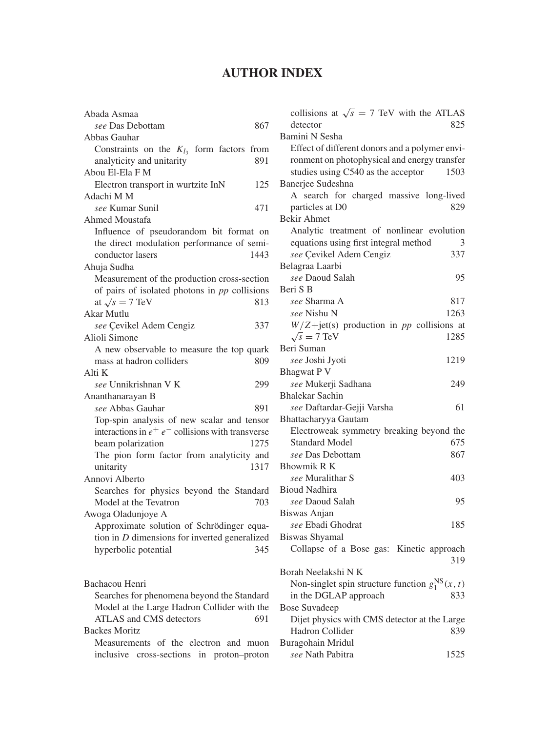## **AUTHOR INDEX**

| Abada Asmaa                                          |
|------------------------------------------------------|
| see Das Debottam<br>867                              |
| Abbas Gauhar                                         |
| Constraints on the $K_{l_3}$ form factors from       |
| 891<br>analyticity and unitarity                     |
| Abou El-Ela F M                                      |
| Electron transport in wurtzite InN<br>125            |
| Adachi M M                                           |
| see Kumar Sunil<br>471                               |
| <b>Ahmed Moustafa</b>                                |
| Influence of pseudorandom bit format on              |
| the direct modulation performance of semi-           |
| conductor lasers<br>1443                             |
| Ahuja Sudha                                          |
| Measurement of the production cross-section          |
| of pairs of isolated photons in pp collisions        |
| at $\sqrt{s} = 7$ TeV<br>813                         |
| Akar Mutlu                                           |
|                                                      |
| see Çevikel Adem Cengiz<br>337                       |
| Alioli Simone                                        |
| A new observable to measure the top quark            |
| mass at hadron colliders<br>809                      |
| Alti K                                               |
| see Unnikrishnan V K<br>299                          |
| Ananthanarayan B                                     |
| see Abbas Gauhar<br>891                              |
| Top-spin analysis of new scalar and tensor           |
| interactions in $e^+ e^-$ collisions with transverse |
| beam polarization<br>1275                            |
| The pion form factor from analyticity and            |
| 1317<br>unitarity                                    |
| Annovi Alberto                                       |
| Searches for physics beyond the Standard             |
| Model at the Tevatron<br>703                         |
| Awoga Oladunjoye A                                   |
| Approximate solution of Schrödinger equa-            |
| tion in $D$ dimensions for inverted generalized      |
| 345<br>hyperbolic potential                          |
|                                                      |
|                                                      |
| Bachacou Henri                                       |
| Searches for phenomena beyond the Standard           |
| Model at the Large Hadron Collider with the          |
| ATLAS and CMS detectors<br>691                       |
| <b>Backes Moritz</b>                                 |
| Measurements of the electron and muon                |
|                                                      |

inclusive cross-sections in proton–proton

| collisions at $\sqrt{s}$ = 7 TeV with the ATLAS<br>825<br>detector |
|--------------------------------------------------------------------|
| Bamini N Sesha                                                     |
| Effect of different donors and a polymer envi-                     |
| ronment on photophysical and energy transfer                       |
| studies using C540 as the acceptor<br>1503                         |
| Banerjee Sudeshna                                                  |
| A search for charged massive long-lived                            |
| particles at D0<br>829                                             |
| <b>Bekir Ahmet</b>                                                 |
| Analytic treatment of nonlinear evolution                          |
| equations using first integral method<br>3                         |
| see Çevikel Adem Cengiz<br>337                                     |
| Belagraa Laarbi                                                    |
| see Daoud Salah<br>95                                              |
|                                                                    |
| Beri S B                                                           |
| see Sharma A<br>817                                                |
| see Nishu N<br>1263                                                |
| $W/Z + jet(s)$ production in pp collisions at                      |
| $\sqrt{s}$ = 7 TeV<br>1285                                         |
| Beri Suman                                                         |
| see Joshi Jyoti<br>1219                                            |
| <b>Bhagwat P V</b>                                                 |
| see Mukerji Sadhana<br>249                                         |
| <b>Bhalekar Sachin</b>                                             |
| see Daftardar-Gejji Varsha<br>61                                   |
| Bhattacharyya Gautam                                               |
| Electroweak symmetry breaking beyond the                           |
| <b>Standard Model</b><br>675                                       |
| 867<br>see Das Debottam                                            |
| <b>Bhowmik R K</b>                                                 |
| see Muralithar S<br>403                                            |
| <b>Bioud Nadhira</b>                                               |
| see Daoud Salah<br>95                                              |
| Biswas Anjan                                                       |
| see Ebadi Ghodrat<br>185                                           |
| <b>Biswas Shyamal</b>                                              |
| Collapse of a Bose gas: Kinetic approach                           |
| 319                                                                |
| Borah Neelakshi N K                                                |
| Non-singlet spin structure function $g_1^{\text{NS}}(x, t)$        |
| in the DGLAP approach<br>833                                       |
| <b>Bose Suvadeep</b>                                               |
| Dijet physics with CMS detector at the Large                       |
| Hadron Collider<br>839                                             |
| Buragohain Mridul                                                  |
| 1525<br>see Nath Pabitra                                           |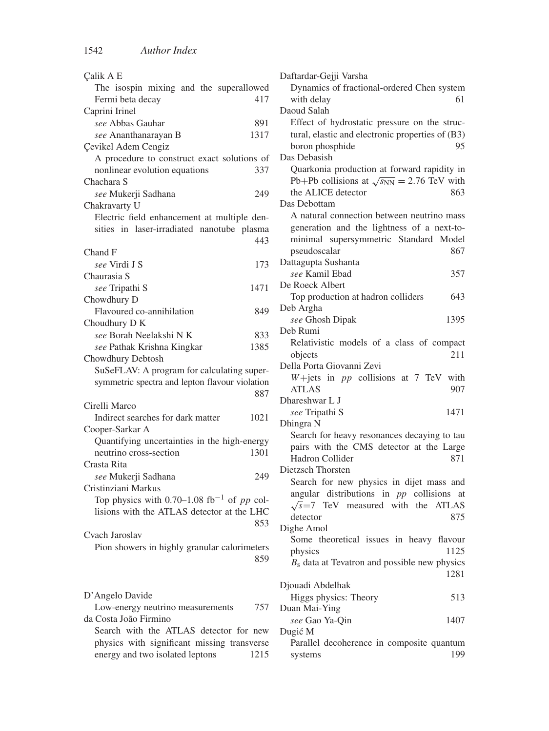| Çalik A E                                                              |      |
|------------------------------------------------------------------------|------|
| The isospin mixing and the superallowed                                |      |
| Fermi beta decay                                                       | 417  |
| Caprini Irinel                                                         |      |
| see Abbas Gauhar                                                       | 891  |
| see Ananthanarayan B                                                   | 1317 |
| Çevikel Adem Cengiz                                                    |      |
| A procedure to construct exact solutions of                            |      |
| nonlinear evolution equations                                          | 337  |
| Chachara S                                                             |      |
| see Mukerji Sadhana                                                    | 249  |
| Chakravarty U                                                          |      |
| Electric field enhancement at multiple den-                            |      |
| sities in laser-irradiated nanotube plasma                             |      |
|                                                                        | 443  |
|                                                                        |      |
| Chand F                                                                |      |
| see Virdi J S                                                          | 173  |
| Chaurasia S                                                            |      |
| see Tripathi S                                                         | 1471 |
| Chowdhury D                                                            |      |
| Flavoured co-annihilation                                              | 849  |
| Choudhury D K                                                          |      |
| see Borah Neelakshi NK                                                 | 833  |
| see Pathak Krishna Kingkar                                             | 1385 |
|                                                                        |      |
| Chowdhury Debtosh                                                      |      |
| SuSeFLAV: A program for calculating super-                             |      |
| symmetric spectra and lepton flavour violation                         |      |
|                                                                        | 887  |
| Cirelli Marco                                                          |      |
| Indirect searches for dark matter                                      | 1021 |
|                                                                        |      |
| Cooper-Sarkar A                                                        |      |
| Quantifying uncertainties in the high-energy<br>neutrino cross-section | 1301 |
|                                                                        |      |
| Crasta Rita                                                            |      |
| see Mukerji Sadhana                                                    | 249  |
| Cristinziani Markus                                                    |      |
| Top physics with 0.70–1.08 fb <sup>-1</sup> of pp col-                 |      |
| lisions with the ATLAS detector at the LHC                             |      |
|                                                                        | 853  |
| Cvach Jaroslav                                                         |      |
| Pion showers in highly granular calorimeters                           |      |
|                                                                        | 859  |
|                                                                        |      |
|                                                                        |      |
| D'Angelo Davide                                                        |      |
| Low-energy neutrino measurements                                       | 757  |
| da Costa João Firmino                                                  |      |
| Search with the ATLAS detector for new                                 |      |
| physics with significant missing transverse                            |      |

| Daftardar-Gejji Varsha                              |
|-----------------------------------------------------|
| Dynamics of fractional-ordered Chen system          |
| with delay<br>61                                    |
| Daoud Salah                                         |
| Effect of hydrostatic pressure on the struc-        |
| tural, elastic and electronic properties of (B3)    |
| 95<br>boron phosphide                               |
| Das Debasish                                        |
| Quarkonia production at forward rapidity in         |
| Pb+Pb collisions at $\sqrt{s_{NN}}$ = 2.76 TeV with |
| the ALICE detector<br>863                           |
| Das Debottam                                        |
| A natural connection between neutrino mass          |
| generation and the lightness of a next-to-          |
| minimal supersymmetric Standard Model               |
| pseudoscalar<br>867                                 |
| Dattagupta Sushanta                                 |
| see Kamil Ebad<br>357                               |
| De Roeck Albert                                     |
| Top production at hadron colliders<br>643           |
| Deb Argha                                           |
| see Ghosh Dipak<br>1395<br>Deb Rumi                 |
|                                                     |
| Relativistic models of a class of compact<br>211    |
| objects<br>Della Porta Giovanni Zevi                |
| $W + jets$ in $pp$ collisions at 7 TeV with         |
| <b>ATLAS</b><br>907                                 |
| Dhareshwar L J                                      |
| see Tripathi S<br>1471                              |
| Dhingra N                                           |
| Search for heavy resonances decaying to tau         |
| pairs with the CMS detector at the Large            |
| <b>Hadron Collider</b><br>871                       |
| Dietzsch Thorsten                                   |
| Search for new physics in dijet mass and            |
| angular distributions in <i>pp</i> collisions<br>at |
| $\sqrt{s}$ =7 TeV measured with the ATLAS           |
| detector<br>875                                     |
| Dighe Amol                                          |
| Some theoretical issues in heavy flavour            |
| physics<br>1125                                     |
| $B_s$ data at Tevatron and possible new physics     |
| 1281                                                |
| Djouadi Abdelhak                                    |
| Higgs physics: Theory<br>513                        |
| Duan Mai-Ying                                       |
| see Gao Ya-Qin<br>1407                              |
| Dugić M                                             |
| Parallel decoherence in composite quantum           |
| 199<br>systems                                      |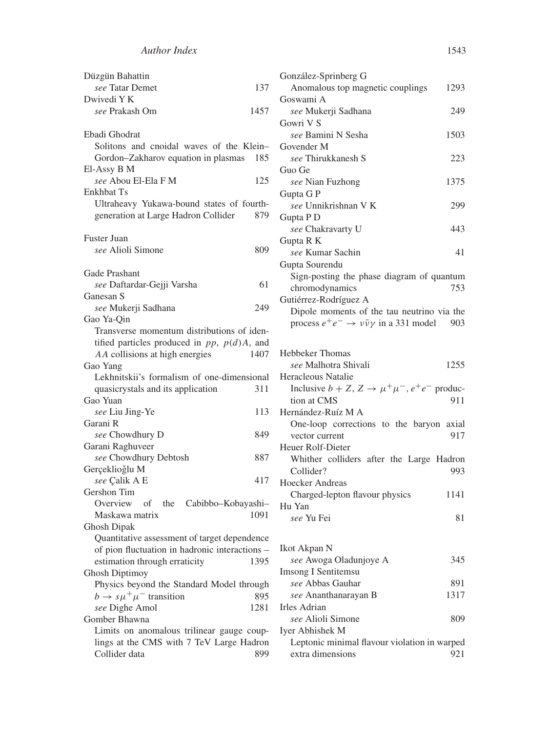| Düzgün Bahattin                                   | Gon:              |
|---------------------------------------------------|-------------------|
| see Tatar Demet                                   | 137<br>А          |
| Dwivedi Y K                                       | Gosy              |
| see Prakash Om                                    | 1457<br>se<br>Gow |
| Ebadi Ghodrat                                     | $s\epsilon$       |
| Solitons and cnoidal waves of the Klein-          | Gov               |
| Gordon-Zakharov equation in plasmas               | 185<br>se         |
| El-Assy B M                                       | Guo               |
| see Abou El-Ela F M                               | 125<br>se         |
| Enkhbat Ts                                        | Gup               |
| Ultraheavy Yukawa-bound states of fourth-         | se                |
| generation at Large Hadron Collider               | 879<br>Gup        |
| Fuster Juan                                       | se<br>Gupt        |
| see Alioli Simone                                 | 809<br>se         |
|                                                   | Gup               |
| Gade Prashant                                     | Si                |
| see Daftardar-Gejji Varsha                        | 61<br>cł          |
| Ganesan S                                         | Guti              |
| see Mukerji Sadhana                               | 249<br>D          |
| Gao Ya-Qin                                        | pi                |
| Transverse momentum distributions of iden-        |                   |
| tified particles produced in $pp$ , $p(d)A$ , and |                   |
| AA collisions at high energies                    | Hebl<br>1407      |
| Gao Yang                                          | se                |
| Lekhnitskii's formalism of one-dimensional        | Hera              |
| quasicrystals and its application                 | In<br>311         |
| Gao Yuan                                          | ti                |
| see Liu Jing-Ye                                   | 113<br>Herr       |
| Garani R                                          | О                 |
| see Chowdhury D                                   | 849<br>V          |
| Garani Raghuveer                                  | Heu               |
| see Chowdhury Debtosh                             | 887<br>W          |
| Gerçeklioğlu M                                    | С<br>417          |
| see Çalik A E<br>Gershon Tim                      | Hoed              |
| Overview<br>of the<br>Cabibbo-Kobayashi-          | C                 |
| Maskawa matrix                                    | $Hu$ )<br>1091    |
| Ghosh Dipak                                       | se                |
| Quantitative assessment of target dependence      |                   |
| of pion fluctuation in hadronic interactions -    | Ikot              |
| estimation through erraticity                     | 1395<br>se        |
| Ghosh Diptimoy                                    | Imsc              |
| Physics beyond the Standard Model through         | se                |
| $b \rightarrow s\mu^{+}\mu^{-}$ transition        | 895<br>se         |
| see Dighe Amol                                    | Irles<br>1281     |
| Gomber Bhawna                                     | se                |
| Limits on anomalous trilinear gauge coup-         | Iyer              |
| lings at the CMS with 7 TeV Large Hadron          | L                 |
| Collider data                                     | 899<br>e          |

| González-Sprinberg G                                                |       |
|---------------------------------------------------------------------|-------|
| Anomalous top magnetic couplings                                    | 1293  |
| Goswami A                                                           |       |
| see Mukerji Sadhana                                                 | 249   |
| Gowri V S                                                           |       |
| see Bamini N Sesha                                                  | 1503  |
| Govender M                                                          |       |
| see Thirukkanesh S                                                  | 223   |
| Guo Ge                                                              |       |
| see Nian Fuzhong                                                    | 1375  |
| Gupta G P                                                           |       |
| see Unnikrishnan V K                                                | 299   |
| Gupta P D                                                           |       |
|                                                                     |       |
| see Chakravarty U                                                   | 443   |
| Gupta R K                                                           |       |
| see Kumar Sachin                                                    | 41    |
| Gupta Sourendu                                                      |       |
| Sign-posting the phase diagram of quantum                           |       |
| chromodynamics                                                      | 753   |
| Gutiérrez-Rodríguez A                                               |       |
| Dipole moments of the tau neutrino via the                          |       |
| process $e^+e^- \rightarrow \nu \bar{\nu} \gamma$ in a 331 model    | - 903 |
|                                                                     |       |
|                                                                     |       |
| <b>Hebbeker Thomas</b>                                              |       |
| <i>see</i> Malhotra Shivali                                         | 1255  |
| Heracleous Natalie                                                  |       |
| Inclusive $b + Z$ , $Z \rightarrow \mu^+ \mu^-$ , $e^+ e^-$ produc- |       |
| tion at CMS                                                         | 911   |
| Hernández-Ruíz M A                                                  |       |
| One-loop corrections to the baryon axial                            |       |
| vector current                                                      | 917   |
| Heuer Rolf-Dieter                                                   |       |
| Whither colliders after the Large Hadron                            |       |
| Collider?                                                           | 993   |
| <b>Hoecker Andreas</b>                                              |       |
| Charged-lepton flavour physics                                      | 1141  |
| Hu Yan                                                              |       |
| see Yu Fei                                                          | 81    |
|                                                                     |       |
|                                                                     |       |
| Ikot Akpan N                                                        |       |
| see Awoga Oladunjoye A                                              | 345   |
| <b>Imsong I Sentitemsu</b>                                          |       |
| see Abbas Gauhar                                                    | 891   |
| see Ananthanarayan B                                                | 1317  |
| Irles Adrian                                                        |       |
| see Alioli Simone                                                   | 809   |
| Iyer Abhishek M                                                     |       |
| Leptonic minimal flavour violation in warped                        |       |
| extra dimensions                                                    | 921   |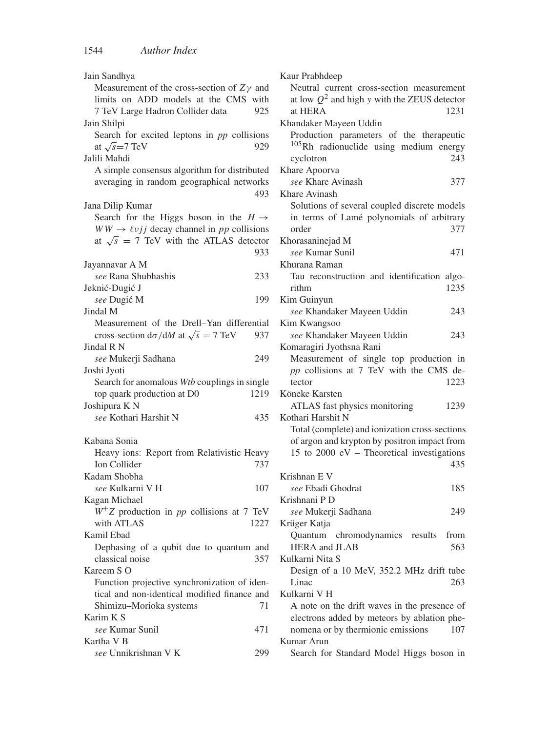| Jain Sandhya                                                 |      |
|--------------------------------------------------------------|------|
| Measurement of the cross-section of $Z\gamma$ and            |      |
| limits on ADD models at the CMS with                         |      |
| 7 TeV Large Hadron Collider data                             | 925  |
| Jain Shilpi                                                  |      |
| Search for excited leptons in pp collisions                  |      |
| at $\sqrt{s}$ =7 TeV                                         | 929  |
| Jalili Mahdi                                                 |      |
| A simple consensus algorithm for distributed                 |      |
| averaging in random geographical networks                    |      |
|                                                              | 493  |
| Jana Dilip Kumar                                             |      |
| Search for the Higgs boson in the $H \rightarrow$            |      |
| $WW \rightarrow \ell \nu j j$ decay channel in pp collisions |      |
| at $\sqrt{s}$ = 7 TeV with the ATLAS detector                |      |
|                                                              | 933  |
| Jayannavar A M                                               |      |
| see Rana Shubhashis                                          | 233  |
| Jeknić-Dugić J                                               |      |
| see Dugić M                                                  | 199  |
| Jindal M                                                     |      |
| Measurement of the Drell-Yan differential                    |      |
| cross-section $d\sigma/dM$ at $\sqrt{s} = 7$ TeV             | 937  |
| Jindal R N                                                   |      |
| see Mukerji Sadhana                                          | 249  |
| Joshi Jyoti                                                  |      |
| Search for anomalous Wtb couplings in single                 |      |
| top quark production at D0                                   | 1219 |
| Joshipura K N                                                |      |
| see Kothari Harshit N                                        | 435  |
|                                                              |      |
| Kabana Sonia                                                 |      |
| Heavy ions: Report from Relativistic Heavy                   |      |
| Ion Collider                                                 | 737  |
| Kadam Shobha                                                 |      |
| see Kulkarni V H                                             | 107  |
| Kagan Michael                                                |      |
| $W^{\pm}Z$ production in pp collisions at 7 TeV              |      |
| with ATLAS                                                   | 1227 |
| Kamil Ebad                                                   |      |
| Dephasing of a qubit due to quantum and                      |      |
| classical noise                                              | 357  |
| Kareem S O                                                   |      |
|                                                              |      |
| Function projective synchronization of iden-                 |      |
| tical and non-identical modified finance and                 |      |
| Shimizu-Morioka systems                                      | 71   |
| Karim K S                                                    |      |
| see Kumar Sunil                                              | 471  |
| Kartha V <sub>B</sub>                                        |      |
| see Unnikrishnan V K                                         | 299  |

| Kaur Prabhdeep                                     |
|----------------------------------------------------|
| Neutral current cross-section measurement          |
| at low $Q^2$ and high y with the ZEUS detector     |
| at HERA<br>1231                                    |
| Khandaker Mayeen Uddin                             |
| Production parameters of the therapeutic           |
| <sup>105</sup> Rh radionuclide using medium energy |
| 243<br>cyclotron                                   |
| Khare Apoorva                                      |
| see Khare Avinash<br>377                           |
| Khare Avinash                                      |
| Solutions of several coupled discrete models       |
| in terms of Lamé polynomials of arbitrary          |
| 377<br>order                                       |
| Khorasaninejad M                                   |
| see Kumar Sunil<br>471                             |
| Khurana Raman                                      |
| Tau reconstruction and identification algo-        |
| 1235<br>rithm                                      |
| Kim Guinyun                                        |
| see Khandaker Mayeen Uddin<br>243                  |
| Kim Kwangsoo                                       |
| see Khandaker Mayeen Uddin<br>243                  |
| Komaragiri Jyothsna Rani                           |
| Measurement of single top production in            |
| pp collisions at 7 TeV with the CMS de-            |
| 1223<br>tector                                     |
| Köneke Karsten                                     |
| ATLAS fast physics monitoring<br>1239              |
| Kothari Harshit N                                  |
| Total (complete) and ionization cross-sections     |
| of argon and krypton by positron impact from       |
| 15 to 2000 eV - Theoretical investigations         |
| 435                                                |
| Krishnan E V                                       |
| see Ebadi Ghodrat<br>185                           |
| Krishnani P D                                      |
| see Mukerji Sadhana<br>249                         |
| Krüger Katja                                       |
| Quantum chromodynamics results from                |
| <b>HERA</b> and <b>JLAB</b><br>563                 |
| Kulkarni Nita S                                    |
| Design of a 10 MeV, 352.2 MHz drift tube           |
| Linac<br>263                                       |
| Kulkarni V H                                       |
| A note on the drift waves in the presence of       |
| electrons added by meteors by ablation phe-        |
| nomena or by thermionic emissions<br>107           |
| Kumar Arun                                         |
| Search for Standard Model Higgs boson in           |
|                                                    |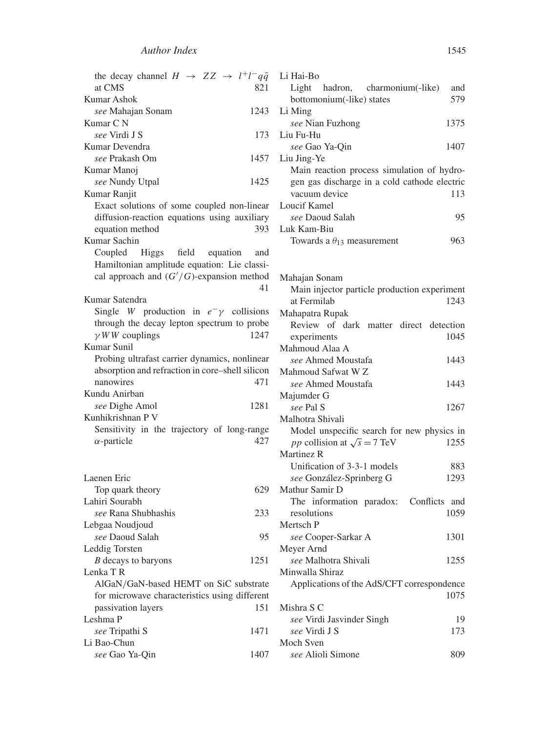| the decay channel $H \rightarrow ZZ \rightarrow l^+l^-q\bar{q}$ | Li Hai-Bo                                         |  |
|-----------------------------------------------------------------|---------------------------------------------------|--|
| at CMS<br>821                                                   | Light<br>hadron,<br>charmonium(-like)<br>and      |  |
| Kumar Ashok                                                     | 579<br>bottomonium(-like) states                  |  |
| 1243<br>see Mahajan Sonam                                       | Li Ming                                           |  |
| Kumar C N                                                       | see Nian Fuzhong<br>1375                          |  |
| see Virdi J S<br>173                                            | Liu Fu-Hu                                         |  |
| Kumar Devendra                                                  | see Gao Ya-Qin<br>1407                            |  |
| see Prakash Om<br>1457                                          | Liu Jing-Ye                                       |  |
| Kumar Manoj                                                     | Main reaction process simulation of hydro-        |  |
| see Nundy Utpal<br>1425                                         | gen gas discharge in a cold cathode electric      |  |
| Kumar Ranjit                                                    | vacuum device<br>113                              |  |
| Exact solutions of some coupled non-linear                      | Loucif Kamel                                      |  |
| diffusion-reaction equations using auxiliary                    | see Daoud Salah<br>95                             |  |
| equation method<br>393                                          | Luk Kam-Biu                                       |  |
| Kumar Sachin                                                    | Towards a $\theta_{13}$ measurement<br>963        |  |
| <b>Higgs</b><br>field<br>Coupled<br>equation<br>and             |                                                   |  |
| Hamiltonian amplitude equation: Lie classi-                     |                                                   |  |
| cal approach and $(G'/G)$ -expansion method                     | Mahajan Sonam                                     |  |
| 41                                                              | Main injector particle production experiment      |  |
| Kumar Satendra                                                  | at Fermilab<br>1243                               |  |
| Single <i>W</i> production in $e^{-}\gamma$ collisions          | Mahapatra Rupak                                   |  |
| through the decay lepton spectrum to probe                      | Review of dark matter direct detection            |  |
| $\gamma$ WW couplings<br>1247                                   | experiments<br>1045                               |  |
| Kumar Sunil                                                     | Mahmoud Alaa A                                    |  |
| Probing ultrafast carrier dynamics, nonlinear                   | see Ahmed Moustafa<br>1443                        |  |
| absorption and refraction in core-shell silicon                 | Mahmoud Safwat W Z                                |  |
| nanowires<br>471                                                | see Ahmed Moustafa<br>1443                        |  |
| Kundu Anirban                                                   | Majumder G                                        |  |
| 1281<br>see Dighe Amol                                          | see Pal S<br>1267                                 |  |
| Kunhikrishnan P V                                               | Malhotra Shivali                                  |  |
| Sensitivity in the trajectory of long-range                     | Model unspecific search for new physics in        |  |
| $\alpha$ -particle<br>427                                       | <i>pp</i> collision at $\sqrt{s} = 7$ TeV<br>1255 |  |
|                                                                 | Martinez R                                        |  |
|                                                                 | Unification of 3-3-1 models<br>883                |  |
| Laenen Eric                                                     | see González-Sprinberg G<br>1293                  |  |
| 629<br>Top quark theory                                         | Mathur Samir D                                    |  |
| Lahiri Sourabh                                                  | The information paradox:<br>Conflicts and         |  |
| see Rana Shubhashis<br>233                                      | 1059<br>resolutions                               |  |
| Lebgaa Noudjoud                                                 | Mertsch P                                         |  |
| see Daoud Salah<br>95                                           | see Cooper-Sarkar A<br>1301                       |  |
| Leddig Torsten                                                  | Meyer Arnd                                        |  |
| <i>B</i> decays to baryons<br>1251                              | see Malhotra Shivali<br>1255                      |  |
| Lenka TR                                                        | Minwalla Shiraz                                   |  |
| AlGaN/GaN-based HEMT on SiC substrate                           | Applications of the AdS/CFT correspondence        |  |
| for microwave characteristics using different                   | 1075                                              |  |
| passivation layers<br>151                                       | Mishra S C                                        |  |
| Leshma P                                                        | see Virdi Jasvinder Singh<br>19                   |  |
| 1471<br>see Tripathi S                                          | see Virdi J S<br>173                              |  |
| Li Bao-Chun                                                     | Moch Sven                                         |  |
| see Gao Ya-Qin<br>1407                                          | see Alioli Simone<br>809                          |  |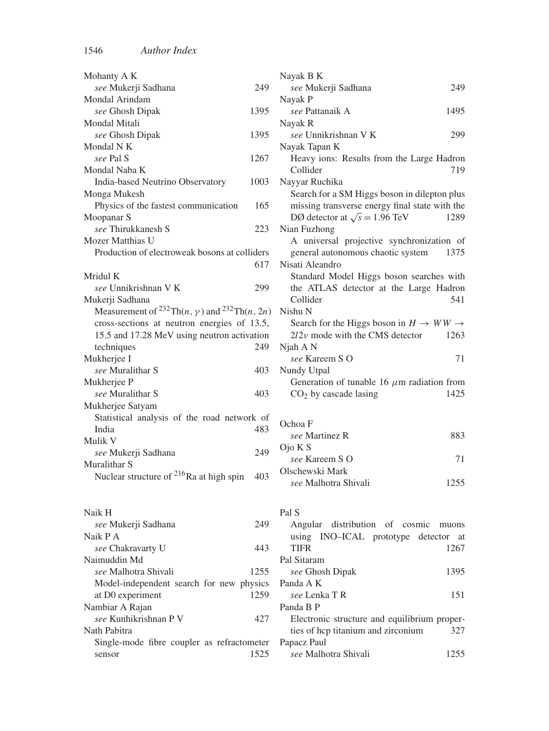| Mohanty A K                                                                                            |      | Nayak B K                                            |
|--------------------------------------------------------------------------------------------------------|------|------------------------------------------------------|
| see Mukerji Sadhana                                                                                    | 249  | see Mukerji Sadhana<br>249                           |
| Mondal Arindam                                                                                         |      | Nayak P                                              |
| see Ghosh Dipak                                                                                        | 1395 | see Pattanaik A<br>1495                              |
| Mondal Mitali                                                                                          |      | Nayak R                                              |
| see Ghosh Dipak                                                                                        | 1395 | see Unnikrishnan V K<br>299                          |
| Mondal N K                                                                                             |      | Nayak Tapan K                                        |
| see Pal S                                                                                              | 1267 | Heavy ions: Results from the Large Hadron            |
| Mondal Naba K                                                                                          |      | Collider<br>719                                      |
| India-based Neutrino Observatory                                                                       | 1003 | Nayyar Ruchika                                       |
| Monga Mukesh                                                                                           |      | Search for a SM Higgs boson in dilepton plus         |
| Physics of the fastest communication                                                                   | 165  | missing transverse energy final state with the       |
| Moopanar S                                                                                             |      | DØ detector at $\sqrt{s} = 1.96 \text{ TeV}$<br>1289 |
| see Thirukkanesh S                                                                                     | 223  | Nian Fuzhong                                         |
| Mozer Matthias U                                                                                       |      | A universal projective synchronization of            |
| Production of electroweak bosons at colliders                                                          |      | general autonomous chaotic system<br>1375            |
|                                                                                                        | 617  | Nisati Aleandro                                      |
| Mridul K                                                                                               |      | Standard Model Higgs boson searches with             |
| see Unnikrishnan V K                                                                                   | 299  | the ATLAS detector at the Large Hadron               |
| Mukerji Sadhana                                                                                        |      | Collider<br>541                                      |
| Measurement of <sup>232</sup> Th( <i>n</i> , $\gamma$ ) and <sup>232</sup> Th( <i>n</i> , 2 <i>n</i> ) |      | Nishu N                                              |
| cross-sections at neutron energies of 13.5,                                                            |      | Search for the Higgs boson in $H \to WW \to$         |
| 15.5 and 17.28 MeV using neutron activation                                                            |      | $2l2v$ mode with the CMS detector<br>1263            |
| techniques                                                                                             | 249  | Njah A N                                             |
| Mukherjee I                                                                                            |      | see Kareem SO<br>71                                  |
| see Muralithar S                                                                                       | 403  | Nundy Utpal                                          |
| Mukherjee P                                                                                            |      | Generation of tunable 16 $\mu$ m radiation from      |
| see Muralithar S                                                                                       | 403  | 1425<br>$CO2$ by cascade lasing                      |
| Mukherjee Satyam                                                                                       |      |                                                      |
| Statistical analysis of the road network of                                                            |      | Ochoa F                                              |
| India                                                                                                  | 483  |                                                      |
| Mulik V                                                                                                |      | see Martinez R<br>883                                |
| see Mukerji Sadhana                                                                                    | 249  | $O$ jo K S                                           |
| Muralithar S                                                                                           |      | see Kareem SO<br>71                                  |
| Nuclear structure of <sup>216</sup> Ra at high spin                                                    | 403  | Olschewski Mark                                      |
|                                                                                                        |      | see Malhotra Shivali<br>1255                         |
| Naik H                                                                                                 |      | Pal S                                                |
| see Mukerji Sadhana                                                                                    | 249  | Angular distribution of cosmic muons                 |
| Naik P A                                                                                               |      | using INO-ICAL prototype detector at                 |
| see Chakravarty U                                                                                      | 443  | TIFR<br>1267                                         |

| A universal projective synchronization of       |
|-------------------------------------------------|
| general autonomous chaotic system<br>1375       |
| Nisati Aleandro                                 |
| Standard Model Higgs boson searches with        |
| the ATLAS detector at the Large Hadron          |
| 541<br>Collider                                 |
| Nishu <sub>N</sub>                              |
| Search for the Higgs boson in $H \to WW \to$    |
| $2l2v$ mode with the CMS detector<br>1263       |
| Njah A N                                        |
| see Kareem SO<br>71                             |
| Nundy Utpal                                     |
| Generation of tunable 16 $\mu$ m radiation from |
| $CO2$ by cascade lasing<br>1425                 |
|                                                 |
| Ochoa F                                         |
| see Martinez R<br>883                           |
| Ojo K S                                         |
| see Kareem S O<br>71                            |
| Olschewski Mark                                 |
| see Malhotra Shivali<br>1255                    |
|                                                 |
|                                                 |
| Pal S                                           |
| Angular distribution of cosmic<br>muons         |
| using INO-ICAL prototype detector at            |
| <b>TIFR</b><br>1267                             |
| Pal Sitaram                                     |
| see Ghosh Dipak<br>1395                         |
| Panda A K                                       |
| see Lenka TR<br>151                             |
| Panda B P                                       |
| Electronic structure and equilibrium proper-    |
| ties of hcp titanium and zirconium<br>327       |
| Papacz Paul                                     |
| see Malhotra Shivali<br>1255                    |
|                                                 |

| 1.34111.11                                 |      |
|--------------------------------------------|------|
| see Mukerji Sadhana                        |      |
| Naik P A                                   |      |
| <i>see</i> Chakravarty U                   | 443  |
| Naimuddin Md                               |      |
| see Malhotra Shivali                       | 1255 |
| Model-independent search for new physics   |      |
| at D0 experiment                           | 1259 |
| Nambiar A Rajan                            |      |
| see Kunhikrishnan P V                      | 427  |
| Nath Pabitra                               |      |
| Single-mode fibre coupler as refractometer |      |
| sensor                                     | 1525 |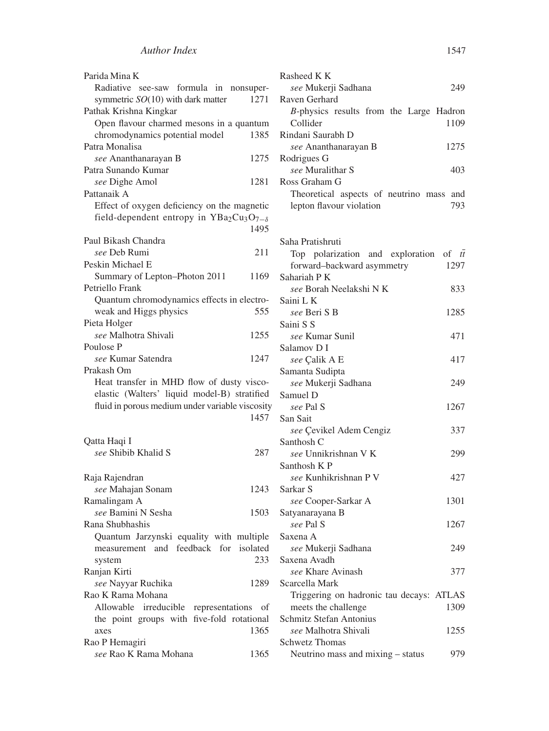| Parida Mina K                                   |      |
|-------------------------------------------------|------|
| Radiative see-saw formula in nonsuper-          |      |
| symmetric SO(10) with dark matter               | 1271 |
| Pathak Krishna Kingkar                          |      |
| Open flavour charmed mesons in a quantum        |      |
| chromodynamics potential model                  | 1385 |
| Patra Monalisa                                  |      |
| see Ananthanarayan B                            | 1275 |
| Patra Sunando Kumar                             |      |
| see Dighe Amol                                  | 1281 |
| Pattanaik A                                     |      |
| Effect of oxygen deficiency on the magnetic     |      |
| field-dependent entropy in $YBa2Cu3O7-δ$        |      |
|                                                 | 1495 |
|                                                 |      |
| Paul Bikash Chandra                             |      |
| see Deb Rumi                                    | 211  |
| Peskin Michael E                                |      |
| Summary of Lepton-Photon 2011                   | 1169 |
| Petriello Frank                                 |      |
| Quantum chromodynamics effects in electro-      |      |
| weak and Higgs physics                          | 555  |
| Pieta Holger                                    |      |
| see Malhotra Shivali                            | 1255 |
| Poulose P                                       |      |
| see Kumar Satendra                              | 1247 |
| Prakash Om                                      |      |
| Heat transfer in MHD flow of dusty visco-       |      |
| elastic (Walters' liquid model-B) stratified    |      |
| fluid in porous medium under variable viscosity |      |
|                                                 | 1457 |
|                                                 |      |
| Qatta Haqi I                                    |      |
| see Shibib Khalid S                             | 287  |
|                                                 |      |
|                                                 |      |
| Raja Rajendran                                  |      |
| see Mahajan Sonam                               | 1243 |
| Ramalingam A                                    |      |
| see Bamini N Sesha                              | 1503 |
| Rana Shubhashis                                 |      |
| Quantum Jarzynski equality with multiple        |      |
| measurement and feedback for isolated           |      |
| system                                          | 233  |
| Ranjan Kirti                                    |      |
| see Nayyar Ruchika                              | 1289 |
| Rao K Rama Mohana                               |      |
| Allowable irreducible representations           | - of |
| five-fold rotational<br>the point groups with   |      |
| axes                                            | 1365 |
| Rao P Hemagiri                                  |      |
|                                                 |      |
| see Rao K Rama Mohana                           | 1365 |

| Rasheed K K                                                             |
|-------------------------------------------------------------------------|
| see Mukerji Sadhana<br>249                                              |
| Raven Gerhard                                                           |
| B-physics results from the Large Hadron                                 |
| Collider<br>1109                                                        |
| Rindani Saurabh D                                                       |
| see Ananthanarayan B<br>1275<br>Rodrigues G                             |
| see Muralithar S<br>403                                                 |
| Ross Graham G                                                           |
| Theoretical aspects of neutrino mass and                                |
| lepton flavour violation<br>793                                         |
|                                                                         |
|                                                                         |
| Saha Pratishruti                                                        |
| Top polarization and exploration<br>of $t\bar{t}$                       |
| forward-backward asymmetry<br>1297                                      |
| Sahariah P K<br>see Borah Neelakshi N K                                 |
| 833<br>Saini L K                                                        |
| see Beri S B<br>1285                                                    |
| Saini S S                                                               |
| see Kumar Sunil<br>471                                                  |
| Salamov D I                                                             |
| see Çalik A E<br>417                                                    |
| Samanta Sudipta                                                         |
| see Mukerji Sadhana<br>249                                              |
| Samuel D                                                                |
| see Pal S<br>1267                                                       |
| San Sait                                                                |
| see Çevikel Adem Cengiz<br>337                                          |
| Santhosh C<br>see Unnikrishnan V K                                      |
| 299<br>Santhosh K P                                                     |
| see Kunhikrishnan P V<br>427                                            |
| Sarkar S                                                                |
| 1301<br>see Cooper-Sarkar A                                             |
| Satyanarayana B                                                         |
| see Pal S<br>1267                                                       |
| Saxena A                                                                |
| see Mukerji Sadhana<br>249                                              |
| Saxena Avadh                                                            |
| see Khare Avinash<br>377                                                |
| Scarcella Mark                                                          |
| Triggering on hadronic tau decays: ATLAS<br>1309<br>meets the challenge |
| Schmitz Stefan Antonius                                                 |
| see Malhotra Shivali<br>1255                                            |
| Schwetz Thomas                                                          |

Neutrino mass and mixing – status 979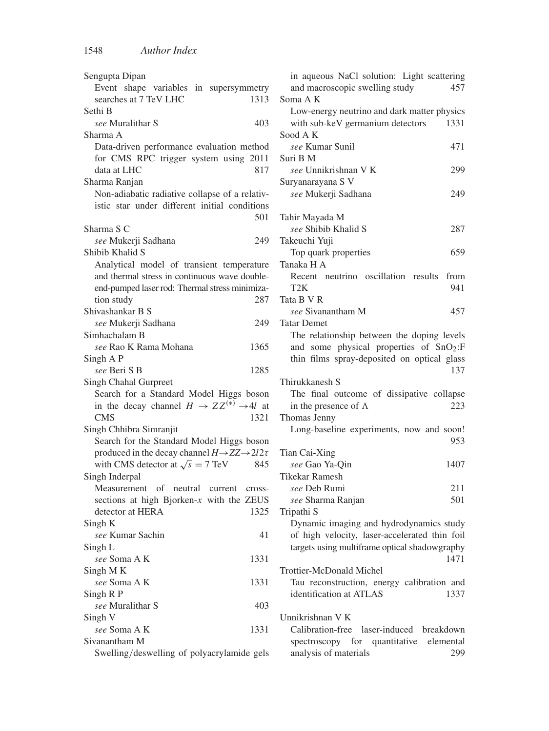| Sengupta Dipan                                                       |  |
|----------------------------------------------------------------------|--|
| Event shape variables in supersymmetry                               |  |
| searches at 7 TeV LHC<br>1313                                        |  |
| Sethi B                                                              |  |
| see Muralithar S<br>403                                              |  |
| Sharma A                                                             |  |
|                                                                      |  |
| Data-driven performance evaluation method                            |  |
| for CMS RPC trigger system using<br>2011                             |  |
| data at LHC<br>817                                                   |  |
| Sharma Ranjan                                                        |  |
| Non-adiabatic radiative collapse of a relativ-                       |  |
| istic star under different initial conditions                        |  |
| 501                                                                  |  |
| Sharma S C                                                           |  |
|                                                                      |  |
| see Mukerji Sadhana<br>249                                           |  |
| Shibib Khalid S                                                      |  |
| Analytical model of transient temperature                            |  |
| and thermal stress in continuous wave double-                        |  |
| end-pumped laser rod: Thermal stress minimiza-                       |  |
| tion study<br>287                                                    |  |
| Shivashankar B S                                                     |  |
| see Mukerji Sadhana<br>249                                           |  |
|                                                                      |  |
| Simhachalam B                                                        |  |
| see Rao K Rama Mohana<br>1365                                        |  |
| Singh A P                                                            |  |
| see Beri S B<br>1285                                                 |  |
| Singh Chahal Gurpreet                                                |  |
| Search for a Standard Model Higgs boson                              |  |
| in the decay channel $H \to ZZ^{(*)} \to 4l$ at                      |  |
| 1321<br>CMS                                                          |  |
|                                                                      |  |
| Singh Chhibra Simranjit                                              |  |
| Search for the Standard Model Higgs boson                            |  |
| produced in the decay channel $H \rightarrow ZZ \rightarrow 2l2\tau$ |  |
| with CMS detector at $\sqrt{s} = 7$ TeV<br>845                       |  |
| Singh Inderpal                                                       |  |
| Measurement<br>of neutral current cross-                             |  |
| sections at high Bjorken- $x$ with the ZEUS                          |  |
| detector at HERA<br>1325                                             |  |
|                                                                      |  |
| Singh K                                                              |  |
| see Kumar Sachin<br>41                                               |  |
| Singh L                                                              |  |
| see Soma A K<br>1331                                                 |  |
| Singh MK                                                             |  |
| 1331<br>see Soma A K                                                 |  |
| Singh R P                                                            |  |
| see Muralithar S<br>403                                              |  |
| Singh V                                                              |  |
|                                                                      |  |
| see Soma A K<br>1331                                                 |  |
| Sivanantham M                                                        |  |
| Swelling/deswelling of polyacrylamide gels                           |  |

| in aqueous NaCl solution: Light scattering<br>and macroscopic swelling study | 457  |
|------------------------------------------------------------------------------|------|
| Soma A K                                                                     |      |
| Low-energy neutrino and dark matter physics                                  |      |
| with sub-keV germanium detectors                                             | 1331 |
| Sood A K                                                                     |      |
| see Kumar Sunil                                                              | 471  |
| Suri B M                                                                     |      |
| see Unnikrishnan V K                                                         | 299  |
| Suryanarayana S V                                                            |      |
| see Mukerji Sadhana                                                          | 249  |
|                                                                              |      |
| Tahir Mayada M                                                               |      |
| see Shibib Khalid S                                                          | 287  |
| Takeuchi Yuji                                                                |      |
| Top quark properties                                                         | 659  |
| Tanaka H A                                                                   |      |
| Recent neutrino oscillation results from                                     |      |
| T2K                                                                          | 941  |
| Tata B V R                                                                   |      |
|                                                                              |      |
| see Sivanantham M                                                            | 457  |
| Tatar Demet                                                                  |      |
| The relationship between the doping levels                                   |      |
| and some physical properties of SnO <sub>2</sub> :F                          |      |
| thin films spray-deposited on optical glass                                  |      |
|                                                                              | 137  |
| Thirukkanesh S                                                               |      |
| The final outcome of dissipative collapse                                    |      |
| in the presence of $\Lambda$                                                 | 223  |
| Thomas Jenny                                                                 |      |
|                                                                              |      |
| Long-baseline experiments, now and soon!                                     |      |
|                                                                              | 953  |
| Tian Cai-Xing                                                                |      |
| see Gao Ya-Qin                                                               | 1407 |
| Tikekar Ramesh                                                               |      |
| see Deb Rumi                                                                 | 211  |
|                                                                              | 501  |
| see Sharma Ranjan                                                            |      |
| Tripathi S                                                                   |      |
| Dynamic imaging and hydrodynamics study                                      |      |
| of high velocity, laser-accelerated thin foil                                |      |
| targets using multiframe optical shadowgraphy                                |      |
|                                                                              | 1471 |
| Trottier-McDonald Michel                                                     |      |
| Tau reconstruction, energy calibration and                                   |      |
| identification at ATLAS                                                      | 1337 |
|                                                                              |      |
| Unnikrishnan V K<br>Calibration-free laser-induced breakdown                 |      |

spectroscopy for quantitative elemental<br>analysis of materials 299 analysis of materials